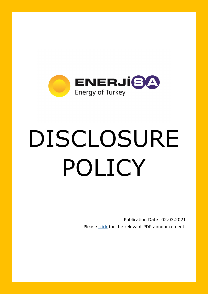

# DISCLOSURE POLICY

Publication Date: 02.03.2021 Please [click](https://www.kap.org.tr/en/Bildirim/914579) for the relevant PDP announcement.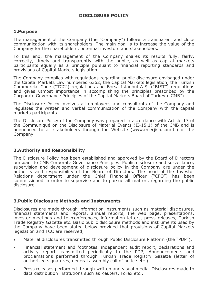# **1.Purpose**

The management of the Company (the "Company") follows a transparent and close communication with its shareholders. The main goal is to increase the value of the Company for the shareholders, potential investors and stakeholders.

To this end, the management of the Company shares its results fully, fairly, correctly, timely and transparently with the public, as well as capital markets participants equally as a principle pursuant to financial reporting standards and provisions of Capital Markets legislation.

The Company complies with regulations regarding public disclosure envisaged under the Capital Markets Law numbered 6362, the Capital Markets legislation, the Turkish Commercial Code ("TCC") regulations and Borsa Istanbul A.Ş. ("BIST") regulations and gives utmost importance in accomplishing the principles prescribed by the Corporate Governance Principles of the Capital Markets Board of Turkey ("CMB").

The Disclosure Policy involves all employees and consultants of the Company and regulates the written and verbal communication of the Company with the capital markets participants.

The Disclosure Policy of the Company was prepared in accordance with Article 17 of the Communiqué on the Disclosure of Material Events (II-15.1) of the CMB and is announced to all stakeholders through the Website (www.enerjisa.com.tr) of the Company.

### **2.Authority and Responsibility**

The Disclosure Policy has been established and approved by the Board of Directors pursuant to CMB Corporate Governance Principles. Public disclosure and surveillance, supervision and development of disclosure policy in the Company are under the authority and responsibility of the Board of Directors. The head of the Investor Relations department under the Chief Financial Officer ("CFO") has been commissioned in order to supervise and to pursue all matters regarding the public disclosure.

### **3.Public Disclosure Methods and Instruments**

Disclosures are made through information instruments such as material disclosures, financial statements and reports, annual reports, the web page, presentations, investor meetings and teleconferences, information letters, press releases, Turkish Trade Registry Gazette etc. Basic public disclosure methods and instruments used by the Company have been stated below provided that provisions of Capital Markets legislation and TCC are reserved;

- Material disclosures transmitted through Public Disclosure Platform (the "PDP"),
- Financial statement and footnotes, independent audit report, declarations and activity report transmitted periodically to the PDP, Announcements and proclamations performed through Turkish Trade Registry Gazette (letter of authorized signatures, general assembly call of notice etc.),
- Press releases performed through written and visual media, Disclosures made to data distribution institutions such as Reuters, Forex etc.,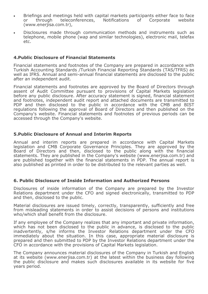- Briefings and meetings held with capital markets participants either face to face or through teleconferences, Notifications of Corporate website (www.enerjisa.com.tr),
- Disclosures made through communication methods and instruments such as telephone, mobile phone (wap and similar technologies), electronic mail, telefax etc.

## **4.Public Disclosure of Financial Statements**

Financial statements and footnotes of the Company are prepared in accordance with Turkish Accounting Standards /Turkish Financial Reporting Standards (TAS/TFRS) as well as IFRS. Annual and semi-annual financial statements are disclosed to the public after an independent audit.

Financial statements and footnotes are approved by the Board of Directors through assent of Audit Committee pursuant to provisions of Capital Markets legislation before any public disclosure. After accuracy statement is signed, financial statement and footnotes, independent audit report and attached documents are transmitted to PDP and then disclosed to the public in accordance with the CMB and BIST regulations following the approval of Board of Directors and then published on the Company's website. Financial statements and footnotes of previous periods can be accessed through the Company's website.

### **5.Public Disclosure of Annual and Interim Reports**

Annual and interim reports are prepared in accordance with Capital Markets legislation and CMB Corporate Governance Principles. They are approved by the Board of Directors and then, disclosed to the public along with the financial statements. They are published in the Company's website (www.enerjisa.com.tr) and are published together with the financial statements in PDP. The annual report is also published as printed in order to be distributed to the relevant parties as well.

### **6. Public Disclosure of Inside Information and Authorized Persons**

Disclosures of inside information of the Company are prepared by the Investor Relations department under the CFO and signed electronically, transmitted to PDP and then, disclosed to the public.

Material disclosures are issued timely, correctly, transparently, sufficiently and free from misleading statements in order to assist decisions of persons and institutions who/which shall benefit from the disclosure.

If any employee of the Company realizes that any important and private information, which has not been disclosed to the public in advance, is disclosed to the public inadvertently, s/he informs the Investor Relations department under the CFO immediately about the situation. In this case, appropriate material disclosure is prepared and then submitted to PDP by the Investor Relations department under the CFO in accordance with the provisions of Capital Markets legislation.

The Company announces material disclosures of the Company in Turkish and English at its website (www.enerjisa.com.tr) at the latest within the business day following the public disclosure and makes such disclosures available in its website for five years period.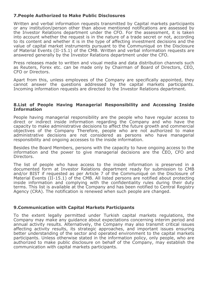# **7.People Authorized to Make Public Disclosures**

Written and verbal information requests transmitted by Capital markets participants or any institution/person other than above mentioned notifications are assessed by the Investor Relations department under the CFO. For the assessment, it is taken into account whether the request is in the nature of a trade secret or not, according to its content and whether it is in the type of affecting investment decisions and the value of capital market instruments pursuant to the Communiqué on the Disclosure of Material Events (II-15.1) of the CMB. Written and verbal information requests are answered generally by the Investor Relations department under the CFO.

Press releases made to written and visual media and data distribution channels such as Reuters, Forex etc. can be made only by Chairman of Board of Directors, CEO, CFO or Directors.

Apart from this, unless employees of the Company are specifically appointed, they cannot answer the questions addressed by the capital markets participants. Incoming information requests are directed to the Investor Relations department.

### **8.List of People Having Managerial Responsibility and Accessing Inside Information**

People having managerial responsibility are the people who have regular access to direct or indirect inside information regarding the Company and who have the capacity to make administrative decisions to affect the future growth and commercial objectives of the Company Therefore, people who are not authorized to make administrative decisions are not considered as persons who have managerial responsibility and ongoing accesses to the inside information.

Besides the Board Members, persons with the capacity to have ongoing access to the information and the power to give managerial decisions are the CEO, CFO and Directors.

The list of people who have access to the inside information is preserved in a documented form at Investor Relations department ready for submission to CMB and/or BIST if requested as per Article 7 of the Communiqué on the Disclosure of Material Events (II-15.1) of the CMB. All listed persons are notified about protecting inside information and complying with the confidentiality rules during their duty terms. This list is available at the Company and has been notified to Central Registry Agency (CRA). The notification is renewed when such people are changed.

### **9.Communication with Capital Markets Participants**

To the extent legally permitted under Turkish capital markets regulations, the Company may make any guidance about expectations concerning interim period and annual activity results. Alternatively, the Company may also transmit critical issues affecting activity results, its strategic approaches, and important issues ensuring better understanding of the sector and operated environment to the capital markets participants. Unless otherwise stated in the information policy, only people, who are authorized to make public disclosure on behalf of the Company, may establish the communication with capital markets participants.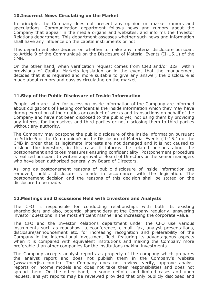### **10.Incorrect News Circulating on the Market**

In principle, the Company does not present any opinion on market rumors and speculations. Communication department follows news and rumors about the Company that appear in the media organs and websites, and informs the Investor Relations department. This department assesses whether such news and information shall have any influence on the capital instruments or not.

This department also decides on whether to make any material disclosure pursuant to Article 9 of the Communiqué on the Disclosure of Material Events (II-15.1) of the CMB.

On the other hand, when verification request comes from CMB and/or BIST within provisions of Capital Markets legislation or in the event that the management decides that it is required and more suitable to give any answer, the disclosure is made about rumors and gossips circulating on the market.

# **11.Stay of the Public Disclosure of Inside Information**

People, who are listed for accessing inside information of the Company are informed about obligations of keeping confidential the inside information which they may have during execution of their duties or conduct of works and transactions on behalf of the Company and have not been disclosed to the public yet, not using them by providing any interest for themselves and third parties or not disclosing them to third parties without any authority.

The Company may postpone the public disclosure of the inside information pursuant to Article 6 of the Communiqué on the Disclosure of Material Events (II-15.1) of the CMB in order that its legitimate interests are not damaged and it is not caused to mislead the investors, in this case, it informs the related persons about the postponement and takes measures ensuring confidentiality. Postponement procedure is realized pursuant to written approval of Board of Directors or the senior managers who have been authorized generally by Board of Directors.

As long as postponement reasons of public disclosure of inside information are removed, public disclosure is made in accordance with the legislation. The postponement decision and the reasons of this decision shall be stated on the disclosure to be made.

### **12.Meetings and Discussions Held with Investors and Analysts**

The CFO is responsible for conducting relationships with both its existing shareholders and also, potential shareholders at the Company regularly, answering investor questions in the most efficient manner and increasing the corporate value.

The CFO and the Investor Relations department under the CFO use various instruments such as roadshow, teleconference, e-mail, fax, analyst presentations, disclosure/announcement etc. for increasing recognition and preferability of the Company in the international investment field, featuring its advantageous aspects when it is compared with equivalent institutions and making the Company more preferable than other companies for the institutions making investments.

The Company accepts analyst reports as property of the company which prepares the analyst report and does not publish them in the Company's website (www.enerjisa.com.tr). The Company does not review, verify, approve analyst reports or income models and does not take their responsibilities and does not spread them. On the other hand, in some definite and limited cases and upon request, analyst reports may be reviewed provided that only publicly disclosed and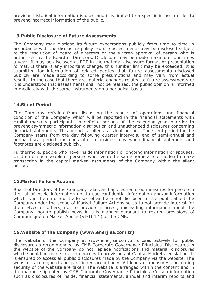previous historical information is used and it is limited to a specific issue in order to prevent incorrect information of the public.

## **13.Public Disclosure of Future Assessments**

The Company may disclose its future expectations publicly from time to time in accordance with the disclosure policy. Future assessments may be disclosed subject to the resolution of board of directors or the written approval of person who is authorized by the Board of Directors. Disclosure may be made maximum four times a year. It may be disclosed at PDP in the material disclosure format or presentation format. If there is any important change, this number limit may be exceeded. It is submitted for information of related parties that future assessments disclosed publicly are made according to some presumptions and may vary from actual results. In the case that there are material changes related to future assessments or it is understood that assessments shall not be realized, the public opinion is informed immediately with the same instruments on a periodical basis.

# **14.Silent Period**

The Company refrains from discussing the results of operations and financial condition of the Company which will be reported in the financial statements with capital markets participants in definite periods of the calendar year in order to prevent asymmetric information distribution and unauthorized disclosures concerning financial statements. This period is called as "silent period". The silent period for the Company starts from the day following quarter intervals, end of semi-annual and annual fiscal period and ends after a business day when financial statement and footnotes are disclosed publicly.

Furthermore, people who have inside information or ongoing information or spouses, children of such people or persons who live in the same home are forbidden to make transaction in the capital market instruments of the Company within the silent period.

# **15.Market Failure Actions**

Board of Directors of the Company takes and applies required measures for people in the list of inside information not to use confidential information and/or information which is in the nature of trade secret and are not disclosed to the public about the Company under the scope of Market Failure Actions so as to not provide interest for themselves or others, not to provide incorrect, misleading information about the Company, not to publish news in this manner pursuant to related provisions of Communiqué on Market Abuse (VI-104.1) of the CMB.

### **16.Website of the Company (www.enerjisa.com.tr)**

The website of the Company at www.enerjisa.com.tr is used actively for public disclosure as recommended by CMB Corporate Governance Principles. Disclosures in the website of the Company do not replace notifications and material disclosures which should be made in accordance with provisions of Capital Markets legislation. It is ensured to access all public disclosures made by the Company via the website. The website is configured and partitioned accordingly. All kinds of measures concerning security of the website are taken. The website is arranged within the content and in the manner stipulated by CMB Corporate Governance Principles. Certain information such as disclosures of inside, financial statements, annual and interim reports and